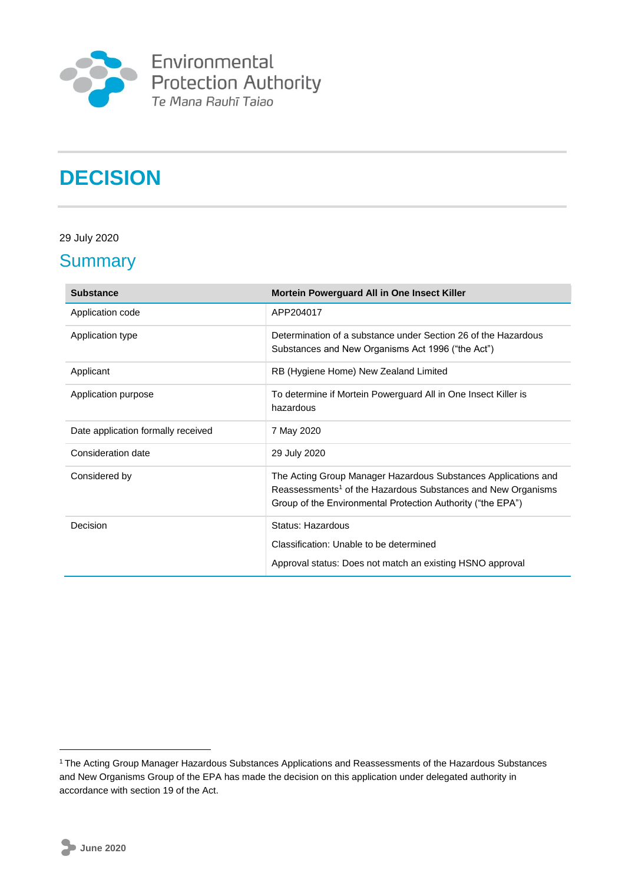

Environmental<br>Protection Authority<br><sup>Te Mana Rauhī Taiao</sup>

# **DECISION**

### 29 July 2020

### **Summary**

| <b>Substance</b>                   | Mortein Powerguard All in One Insect Killer                                                                                                                                                               |
|------------------------------------|-----------------------------------------------------------------------------------------------------------------------------------------------------------------------------------------------------------|
| Application code                   | APP204017                                                                                                                                                                                                 |
| Application type                   | Determination of a substance under Section 26 of the Hazardous<br>Substances and New Organisms Act 1996 ("the Act")                                                                                       |
| Applicant                          | RB (Hygiene Home) New Zealand Limited                                                                                                                                                                     |
| Application purpose                | To determine if Mortein Powerguard All in One Insect Killer is<br>hazardous                                                                                                                               |
| Date application formally received | 7 May 2020                                                                                                                                                                                                |
| Consideration date                 | 29 July 2020                                                                                                                                                                                              |
| Considered by                      | The Acting Group Manager Hazardous Substances Applications and<br>Reassessments <sup>1</sup> of the Hazardous Substances and New Organisms<br>Group of the Environmental Protection Authority ("the EPA") |
| Decision                           | Status: Hazardous                                                                                                                                                                                         |
|                                    | Classification: Unable to be determined                                                                                                                                                                   |
|                                    | Approval status: Does not match an existing HSNO approval                                                                                                                                                 |

1

<sup>&</sup>lt;sup>1</sup> The Acting Group Manager Hazardous Substances Applications and Reassessments of the Hazardous Substances and New Organisms Group of the EPA has made the decision on this application under delegated authority in accordance with section 19 of the Act.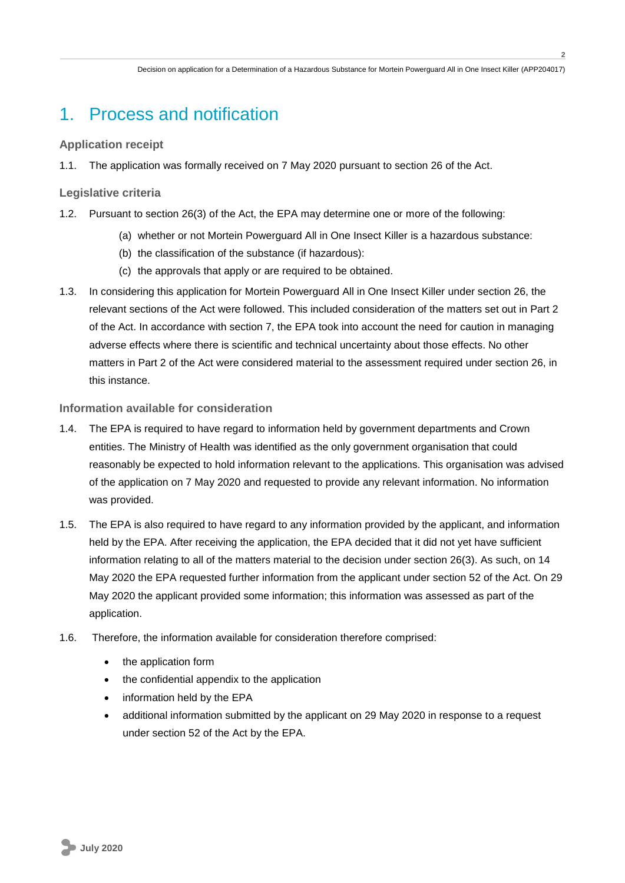**2**

# 1. Process and notification

### **Application receipt**

1.1. The application was formally received on 7 May 2020 pursuant to section 26 of the Act.

#### **Legislative criteria**

- 1.2. Pursuant to section 26(3) of the Act, the EPA may determine one or more of the following:
	- (a) whether or not Mortein Powerguard All in One Insect Killer is a hazardous substance:
	- (b) the classification of the substance (if hazardous):
	- (c) the approvals that apply or are required to be obtained.
- 1.3. In considering this application for Mortein Powerguard All in One Insect Killer under section 26, the relevant sections of the Act were followed. This included consideration of the matters set out in Part 2 of the Act. In accordance with section 7, the EPA took into account the need for caution in managing adverse effects where there is scientific and technical uncertainty about those effects. No other matters in Part 2 of the Act were considered material to the assessment required under section 26, in this instance.

### **Information available for consideration**

- 1.4. The EPA is required to have regard to information held by government departments and Crown entities. The Ministry of Health was identified as the only government organisation that could reasonably be expected to hold information relevant to the applications. This organisation was advised of the application on 7 May 2020 and requested to provide any relevant information. No information was provided.
- 1.5. The EPA is also required to have regard to any information provided by the applicant, and information held by the EPA. After receiving the application, the EPA decided that it did not yet have sufficient information relating to all of the matters material to the decision under section 26(3). As such, on 14 May 2020 the EPA requested further information from the applicant under section 52 of the Act. On 29 May 2020 the applicant provided some information; this information was assessed as part of the application.
- 1.6. Therefore, the information available for consideration therefore comprised:
	- the application form
	- the confidential appendix to the application
	- information held by the EPA
	- additional information submitted by the applicant on 29 May 2020 in response to a request under section 52 of the Act by the EPA.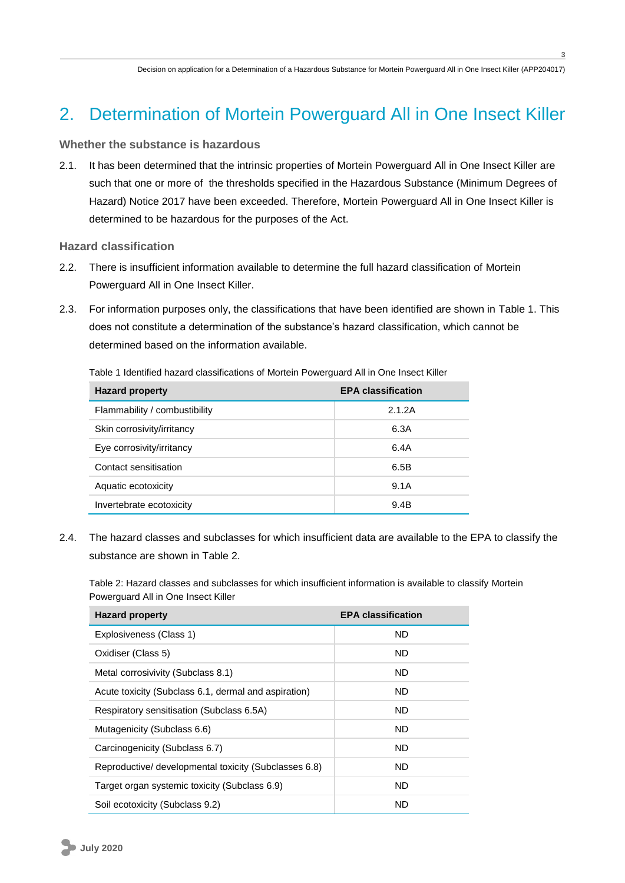**3**

## 2. Determination of Mortein Powerguard All in One Insect Killer

#### **Whether the substance is hazardous**

2.1. It has been determined that the intrinsic properties of Mortein Powerguard All in One Insect Killer are such that one or more of the thresholds specified in the Hazardous Substance (Minimum Degrees of Hazard) Notice 2017 have been exceeded. Therefore, Mortein Powerguard All in One Insect Killer is determined to be hazardous for the purposes of the Act.

**Hazard classification**

- 2.2. There is insufficient information available to determine the full hazard classification of Mortein Powerguard All in One Insect Killer.
- 2.3. For information purposes only, the classifications that have been identified are shown in [Table 1.](#page-2-0) This does not constitute a determination of the substance's hazard classification, which cannot be determined based on the information available.

<span id="page-2-0"></span>Table 1 Identified hazard classifications of Mortein Powerguard All in One Insect Killer

| <b>Hazard property</b>        | <b>EPA classification</b> |
|-------------------------------|---------------------------|
| Flammability / combustibility | 2.1.2A                    |
| Skin corrosivity/irritancy    | 6.3A                      |
| Eye corrosivity/irritancy     | 6.4A                      |
| Contact sensitisation         | 6.5B                      |
| Aquatic ecotoxicity           | 9.1A                      |
| Invertebrate ecotoxicity      | 9.4B                      |

2.4. The hazard classes and subclasses for which insufficient data are available to the EPA to classify the substance are shown in [Table 2.](#page-2-1)

<span id="page-2-1"></span>Table 2: Hazard classes and subclasses for which insufficient information is available to classify Mortein Powerguard All in One Insect Killer

| <b>Hazard property</b>                                | <b>EPA classification</b> |
|-------------------------------------------------------|---------------------------|
| Explosiveness (Class 1)                               | <b>ND</b>                 |
| Oxidiser (Class 5)                                    | ND.                       |
| Metal corrosivivity (Subclass 8.1)                    | ND.                       |
| Acute toxicity (Subclass 6.1, dermal and aspiration)  | ND.                       |
| Respiratory sensitisation (Subclass 6.5A)             | <b>ND</b>                 |
| Mutagenicity (Subclass 6.6)                           | <b>ND</b>                 |
| Carcinogenicity (Subclass 6.7)                        | ND                        |
| Reproductive/ developmental toxicity (Subclasses 6.8) | ND                        |
| Target organ systemic toxicity (Subclass 6.9)         | <b>ND</b>                 |
| Soil ecotoxicity (Subclass 9.2)                       | ND                        |

**July 2020**